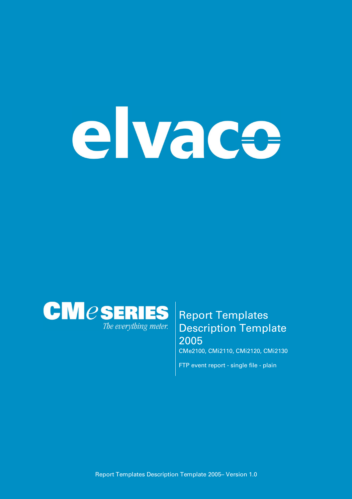# elvace



# **Report Templates Description Template 2005**

**CMe2100, CMi2110, CMi2120, CMi2130**

**FTP event report - single file - plain**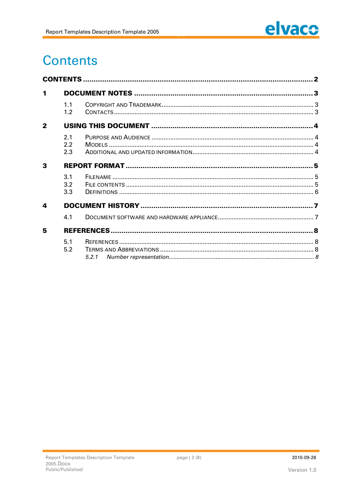

# **Contents**

| 1            |                   |  |  |
|--------------|-------------------|--|--|
|              | 1.1<br>1.2        |  |  |
| $\mathbf{2}$ |                   |  |  |
|              | 2.1<br>2.2<br>2.3 |  |  |
| 3            |                   |  |  |
|              | 3.1<br>3.2<br>3.3 |  |  |
| 4            |                   |  |  |
|              | 4.1               |  |  |
| 5            |                   |  |  |
|              | 5.1<br>5.2        |  |  |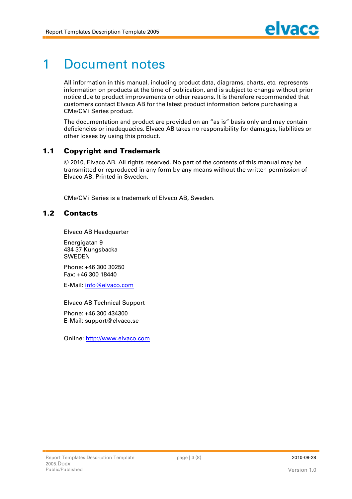# **1 Document notes**

**All information in this manual, including product data, diagrams, charts, etc. represents information on products at the time of publication, and is subject to change without prior notice due to product improvements or other reasons. It is therefore recommended that customers contact Elvaco AB for the latest product information before purchasing a CMe/CMi Series product.**

**The documentation and product are provided on an "as is" basis only and may contain deficiencies or inadequacies. Elvaco AB takes no responsibility for damages, liabilities or other losses by using this product.**

## **1.1 Copyright and Trademark**

**© 2010, Elvaco AB. All rights reserved. No part of the contents of this manual may be transmitted or reproduced in any form by any means without the written permission of Elvaco AB. Printed in Sweden.**

**CMe/CMi Series is a trademark of Elvaco AB, Sweden.**

# **1.2 Cont act s**

**Elvaco AB Headquarter**

**Energigatan 9 434 37 Kungsbacka SWEDEN**

**Phone: +46 300 30250 Fax: +46 300 18440**

**E-Mail: [info@elvaco.com](mailto:info@elvaco.com)**

**Elvaco AB Technical Support**

**Phone: +46 300 434300 E-Mail: [support@elvaco.se](mailto:support@elvaco.se)**

**Online: http://www.elvaco.com**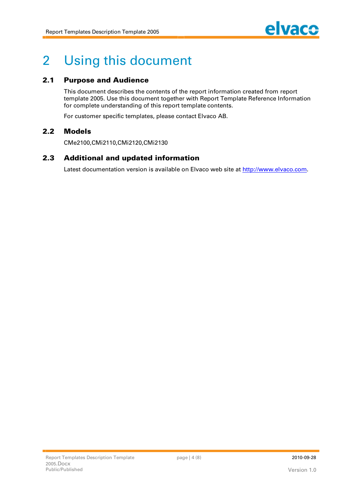

# **2 Using this document**

# **2.1 Purpose and Audience**

**This document describes the contents of the report information created from report template 2005. Use this document together with Report Template Reference Information for complete understanding of this report template contents.**

**For customer specific templates, please contact Elvaco AB.**

## **2.2 M odels**

**CMe2100,CMi2110,CMi2120,CMi2130**

## **2.3** Additional and updated information

**Latest documentation version is available on Elvaco web site at http://www.elvaco.com.**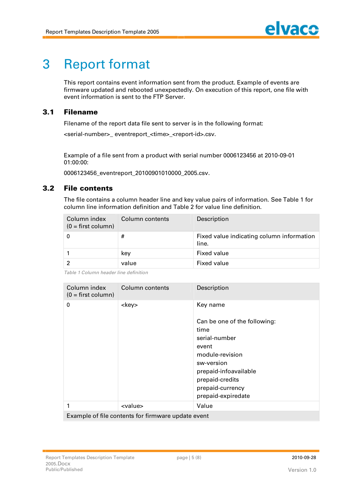# **3 Report format**

**This report contains event information sent from the product. Example of events are firmware updated and rebooted unexpectedly. On execution of this report, one file with event information is sent to the FTP Server.**

# **3.1 Filenam e**

**Filename of the report data file sent to server is in the following format:**

<serial-number> eventreport <time> <report-id>.csv.

**Example of a file sent from a product with serial number 0006123456 at 2010-09-01 01:00:00:**

**0006123456\_eventreport\_20100901010000\_2005.csv.**

## **3.2 File contents**

**The file contains a column header line and key value pairs of information. See Table 1 for column line information definition and Table 2 for value line definition.**

| Column index<br>$(0 = first column)$ | Column contents | Description                                        |
|--------------------------------------|-----------------|----------------------------------------------------|
|                                      | #               | Fixed value indicating column information<br>line. |
|                                      | kev             | <b>Fixed value</b>                                 |
|                                      | value           | <b>Fixed value</b>                                 |

*Table 1 Column header line definition*

| Column index<br>$(0 = first column)$               | Column contents | Description                                                                                                                                                                                       |  |
|----------------------------------------------------|-----------------|---------------------------------------------------------------------------------------------------------------------------------------------------------------------------------------------------|--|
| 0                                                  | <key></key>     | Key name<br>Can be one of the following:<br>time<br>serial-number<br>event<br>module-revision<br>sw-version<br>prepaid-infoavailable<br>prepaid-credits<br>prepaid-currency<br>prepaid-expiredate |  |
| 1                                                  | <value></value> | Value                                                                                                                                                                                             |  |
| Example of file contents for firmware update event |                 |                                                                                                                                                                                                   |  |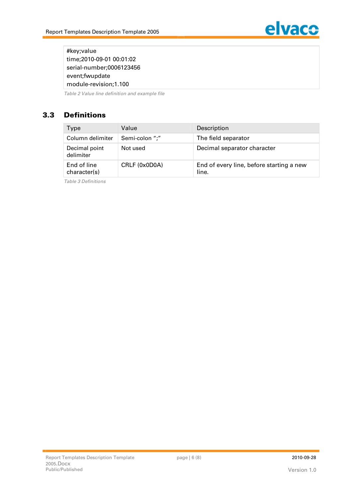

**#key;value time;2010-09-01 00:01:02 serial-number;0006123456 event;fwupdate module-revision;1.100**

*Table 2 Value line definition and example file*

# **3.3 Definitions**

| Type                        | Value          | Description                                       |
|-----------------------------|----------------|---------------------------------------------------|
| Column delimiter            | Semi-colon ";" | The field separator                               |
| Decimal point<br>delimiter  | Not used       | Decimal separator character                       |
| End of line<br>character(s) | CRLF (0x0D0A)  | End of every line, before starting a new<br>line. |

*Table 3 Definitions*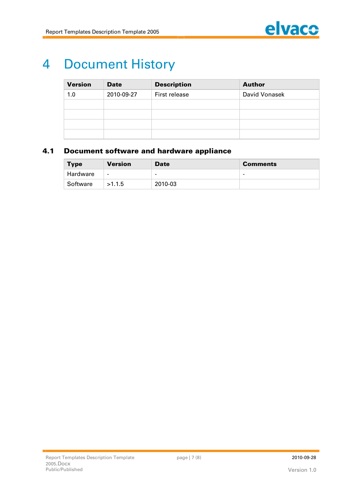

# **4 Document History**

| <b>Version</b> | <b>Date</b> | <b>Description</b> | <b>Author</b> |
|----------------|-------------|--------------------|---------------|
| 1.0            | 2010-09-27  | First release      | David Vonasek |
|                |             |                    |               |
|                |             |                    |               |
|                |             |                    |               |
|                |             |                    |               |

# **4.1 Document software and hardware appliance**

| <b>Type</b> | <b>Version</b>           | <b>Date</b>              | <b>Comments</b> |
|-------------|--------------------------|--------------------------|-----------------|
| Hardware    | $\overline{\phantom{a}}$ | $\overline{\phantom{0}}$ | -               |
| Software    | >1.1.5                   | 2010-03                  |                 |